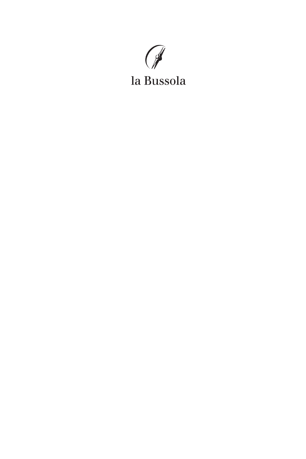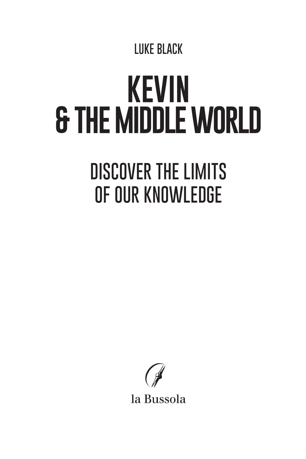**Luke Black**

# **Kevin & the Middle World**

# **Discover the limits of our knowledge**

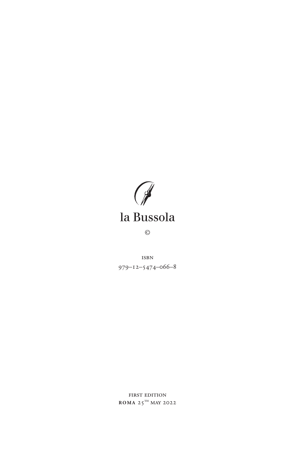

## la Bussola

 $\odot$ 

**ISBN**  $979 - 12 - 5474 - 066 - 8$ 

FIRST EDITION  $ROMA$   $25$ <sup>TH</sup> MAY 2022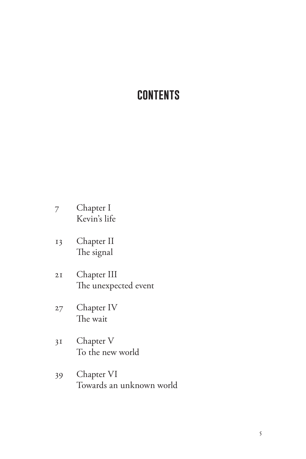#### **contents**

- 7 Chapter I Kevin's life
- 13 Chapter II The signal
- 21 Chapter III The unexpected event
- 27 Chapter IV The wait
- 31 Chapter V To the new world
- 39 Chapter VI Towards an unknown world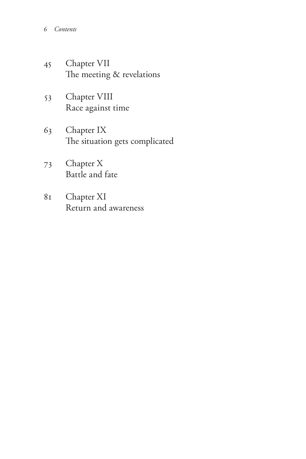- 45 Chapter VII The meeting & revelations
- 53 Chapter VIII Race against time
- 63 Chapter IX The situation gets complicated
- 73 Chapter X Battle and fate
- 81 Chapter XI Return and awareness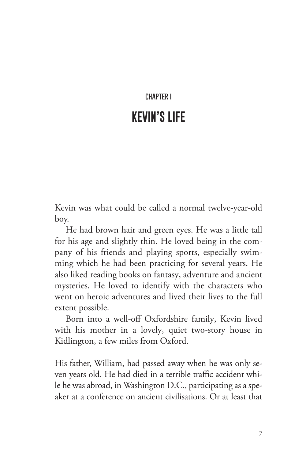# **chapter i Kevin's life**

Kevin was what could be called a normal twelve-year-old boy.

He had brown hair and green eyes. He was a little tall for his age and slightly thin. He loved being in the company of his friends and playing sports, especially swimming which he had been practicing for several years. He also liked reading books on fantasy, adventure and ancient mysteries. He loved to identify with the characters who went on heroic adventures and lived their lives to the full extent possible.

Born into a well-off Oxfordshire family, Kevin lived with his mother in a lovely, quiet two-story house in Kidlington, a few miles from Oxford.

His father, William, had passed away when he was only seven years old. He had died in a terrible traffic accident while he was abroad, in Washington D.C., participating as a speaker at a conference on ancient civilisations. Or at least that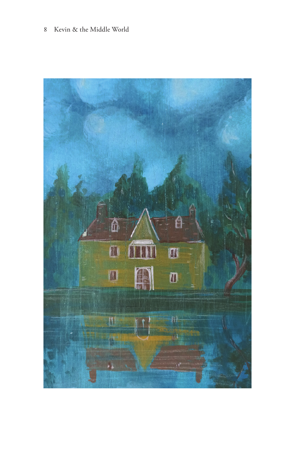#### Kevin & the Middle World

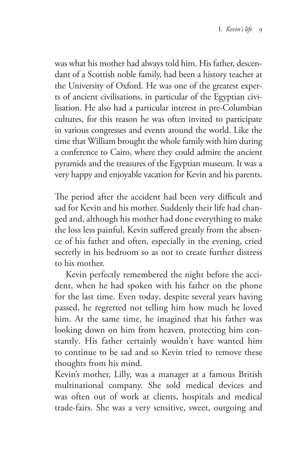was what his mother had always told him. His father, descendant of a Scottish noble family, had been a history teacher at the University of Oxford. He was one of the greatest experts of ancient civilisations, in particular of the Egyptian civilisation. He also had a particular interest in pre-Columbian cultures, for this reason he was often invited to participate in various congresses and events around the world. Like the time that William brought the whole family with him during a conference to Cairo, where they could admire the ancient pyramids and the treasures of the Egyptian museum. It was a very happy and enjoyable vacation for Kevin and his parents.

The period after the accident had been very difficult and sad for Kevin and his mother. Suddenly their life had changed and, although his mother had done everything to make the loss less painful, Kevin suffered greatly from the absence of his father and often, especially in the evening, cried secretly in his bedroom so as not to create further distress to his mother.

Kevin perfectly remembered the night before the accident, when he had spoken with his father on the phone for the last time. Even today, despite several years having passed, he regretted not telling him how much he loved him. At the same time, he imagined that his father was looking down on him from heaven, protecting him constantly. His father certainly wouldn't have wanted him to continue to be sad and so Kevin tried to remove these thoughts from his mind.

Kevin's mother, Lilly, was a manager at a famous British multinational company. She sold medical devices and was often out of work at clients, hospitals and medical trade-fairs. She was a very sensitive, sweet, outgoing and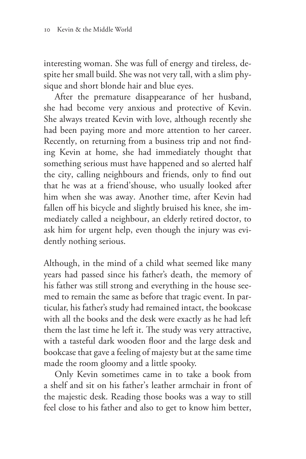interesting woman. She was full of energy and tireless, despite her small build. She was not very tall, with a slim physique and short blonde hair and blue eyes.

After the premature disappearance of her husband, she had become very anxious and protective of Kevin. She always treated Kevin with love, although recently she had been paying more and more attention to her career. Recently, on returning from a business trip and not finding Kevin at home, she had immediately thought that something serious must have happened and so alerted half the city, calling neighbours and friends, only to find out that he was at a friend'shouse, who usually looked after him when she was away. Another time, after Kevin had fallen off his bicycle and slightly bruised his knee, she immediately called a neighbour, an elderly retired doctor, to ask him for urgent help, even though the injury was evidently nothing serious.

Although, in the mind of a child what seemed like many years had passed since his father's death, the memory of his father was still strong and everything in the house seemed to remain the same as before that tragic event. In particular, his father's study had remained intact, the bookcase with all the books and the desk were exactly as he had left them the last time he left it. The study was very attractive, with a tasteful dark wooden floor and the large desk and bookcase that gave a feeling of majesty but at the same time made the room gloomy and a little spooky.

Only Kevin sometimes came in to take a book from a shelf and sit on his father's leather armchair in front of the majestic desk. Reading those books was a way to still feel close to his father and also to get to know him better,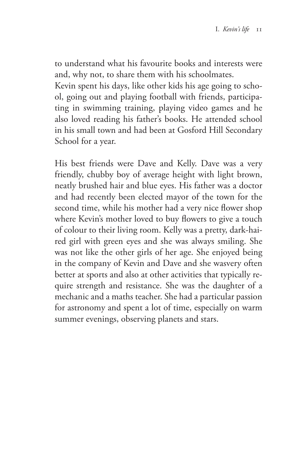to understand what his favourite books and interests were and, why not, to share them with his schoolmates.

Kevin spent his days, like other kids his age going to school, going out and playing football with friends, participating in swimming training, playing video games and he also loved reading his father's books. He attended school in his small town and had been at Gosford Hill Secondary School for a year.

His best friends were Dave and Kelly. Dave was a very friendly, chubby boy of average height with light brown, neatly brushed hair and blue eyes. His father was a doctor and had recently been elected mayor of the town for the second time, while his mother had a very nice flower shop where Kevin's mother loved to buy flowers to give a touch of colour to their living room. Kelly was a pretty, dark-haired girl with green eyes and she was always smiling. She was not like the other girls of her age. She enjoyed being in the company of Kevin and Dave and she wasvery often better at sports and also at other activities that typically require strength and resistance. She was the daughter of a mechanic and a maths teacher. She had a particular passion for astronomy and spent a lot of time, especially on warm summer evenings, observing planets and stars.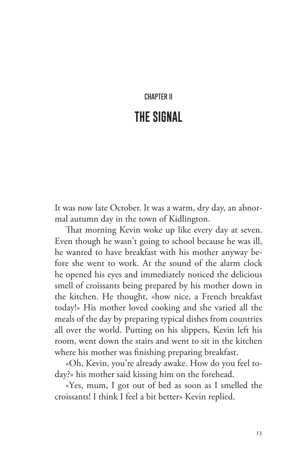## **chapter ii The signal**

It was now late October. It was a warm, dry day, an abnormal autumn day in the town of Kidlington.

That morning Kevin woke up like every day at seven. Even though he wasn't going to school because he was ill, he wanted to have breakfast with his mother anyway before she went to work. At the sound of the alarm clock he opened his eyes and immediately noticed the delicious smell of croissants being prepared by his mother down in the kitchen. He thought, «how nice, a French breakfast today!» His mother loved cooking and she varied all the meals of the day by preparing typical dishes from countries all over the world. Putting on his slippers, Kevin left his room, went down the stairs and went to sit in the kitchen where his mother was finishing preparing breakfast.

«Oh, Kevin, you're already awake. How do you feel today?» his mother said kissing him on the forehead.

«Yes, mum, I got out of bed as soon as I smelled the croissants! I think I feel a bit better» Kevin replied.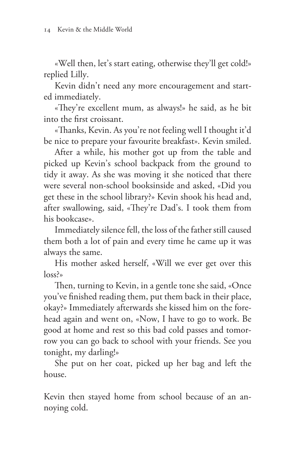«Well then, let's start eating, otherwise they'll get cold!» replied Lilly.

Kevin didn't need any more encouragement and started immediately.

«They're excellent mum, as always!» he said, as he bit into the first croissant.

«Thanks, Kevin. As you're not feeling well I thought it'd be nice to prepare your favourite breakfast». Kevin smiled.

After a while, his mother got up from the table and picked up Kevin's school backpack from the ground to tidy it away. As she was moving it she noticed that there were several non-school booksinside and asked, «Did you get these in the school library?» Kevin shook his head and, after swallowing, said, «They're Dad's. I took them from his bookcase».

Immediately silence fell, the loss of the father still caused them both a lot of pain and every time he came up it was always the same.

His mother asked herself, «Will we ever get over this loss?»

Then, turning to Kevin, in a gentle tone she said, «Once you've finished reading them, put them back in their place, okay?» Immediately afterwards she kissed him on the forehead again and went on, «Now, I have to go to work. Be good at home and rest so this bad cold passes and tomorrow you can go back to school with your friends. See you tonight, my darling!»

She put on her coat, picked up her bag and left the house.

Kevin then stayed home from school because of an annoying cold.